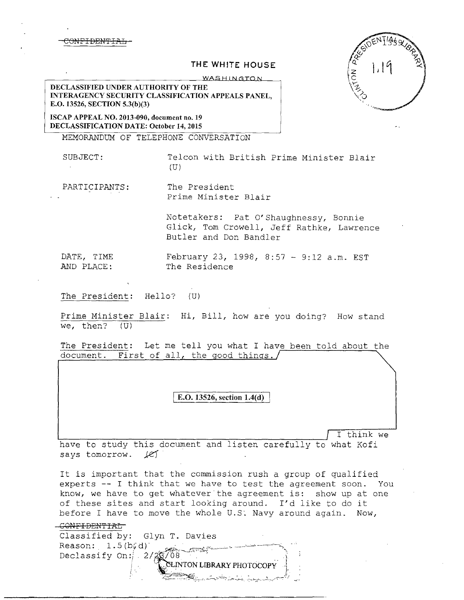C<del>ONFIDENTIA</del>

## **THE WHITE HOUSE**

WASHINGTON

**DECLASSIFIED UNDER AUTHORITY OF THE INTERAGENCY SECURITY CLASSIFICATION APPEALS PANEL, E.O. 13526, SECTION 5.3(b)(3)** 

**ISCAP APPEAL NO. 2013-090, document no. 19 DECLASSIFICATION DATE: October 14, 2015** 

MEMORANDUM OF TELEPHONE CONVERSATION

SUBJECT: Telcon with British Prime Minister Blair

 $(U)$ 

PARTICIPANTS: The President Prime Minister Blair

> Notetakers: Pat O'Shaughnessy, Bonnie Glick, Tom Crowell, Jeff Rathke, Lawrence Butler and Don Bandler

DATE, TIME February 23, 1998, 8:57 - 9:12 a.m. EST AND PLACE: The Residence

The President: Hello? (U)

Prime Minister Blair: Hi, Bill, how are you doing? How stand we, then?  $(U)$ 

The President: Let me tell you what I have been told about the document. First of all, the good things./

**E.O. 13526, section 1.4(d)** 

I think we

have to study this document and listen carefully to what Kofi says tomorrow. *Je}* .

It is important that the commission rush a group of qualified experts -- I think that we have to test the agreement soon. You know, we have to get whatever the agreement is: show up at one of these sites and start looking around. I'd like to do it before I have to move the whole U.S. Navy around again. Now,

| Classified by: Glyn T. Davies           |
|-----------------------------------------|
| Reason: $1.5(b/d)$                      |
| Declassify on: $\sqrt{2}/2$ $\sqrt{08}$ |
| CLINTON LIBRARY PHOTOCOPY               |
| الوالين المولانين ومحافظتك              |

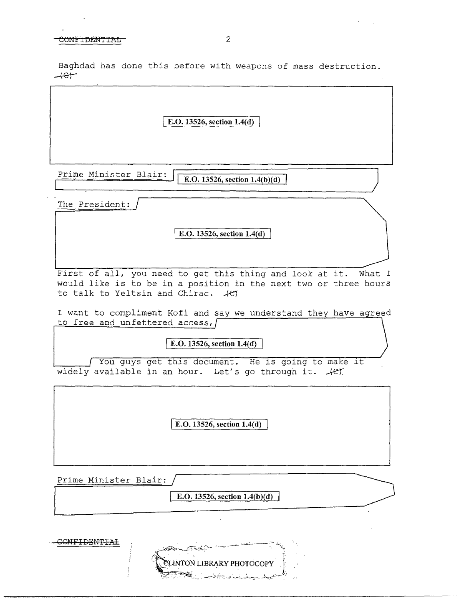Baghdad has done this before with weapons of mass destruction.  $+e$ 

E.O. 13526, section 1.4(d)

Prime Minister Blair: **E.O.** 13526, section 1.4(b)(d)

The President:

I E.O. **13526, section l.4(d)** 

First of all, you need to get this thing and look at it. What I would like is to be in a position in the next two or three hours to talk to Yeltsin and Chirac.  $45$ 

I want to compliment Kofi and say we understand they have agreed to free and unfettered access, [

**E.O. 13526, section 1.4(d)** 

You guys get this document. He *is* going to make it widely available in an hour. Let's go through it.  $\mathcal{L}$ 

[ **E.O. 13526, section 1.4( d)** 

Prime Minister Blair:

**E.O. 13526, section 1.4(b)(d)** 

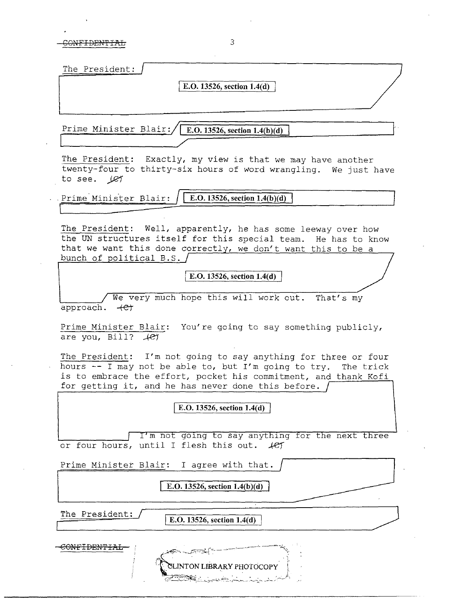CONFIDENTIAL 3

| The President:<br><u> Andreas and American State Company of the Company of the Company of the Company of the Company of the Company of the Company of the Company of the Company of the Company of the Company of the Company of the Company of th</u> |                            |  |
|--------------------------------------------------------------------------------------------------------------------------------------------------------------------------------------------------------------------------------------------------------|----------------------------|--|
|                                                                                                                                                                                                                                                        | E.O. 13526, section 1.4(d) |  |
|                                                                                                                                                                                                                                                        |                            |  |
|                                                                                                                                                                                                                                                        |                            |  |

Prime Minister Blair:  $\sqrt{\mathbf{E.O. 13526, section 1.4(b)(d)}}$ 

The President: Exactly, my view is that we may have another twenty-four to thirty-six hours of word wrangling. *We* just have to see. *)Q1* 

Prime Minister Blair:  $\sqrt{\text{E.O. 13526, section 1.4(b)(d)}}$ 

The President: Well, apparently, he has some leeway over how the UN structures itself for this special team. He has to know that we want this done correctly, we don't want this to be a bunch of political B.S.  $/$ 

I **E.O. 13526, section 1.4(d)** 

*We* very much hope this will work out. That's my approach.  $+e^+$ 

Prime Minister Blair: You're going to say something publicly, are you, Bill? *Ae1* 

The President: I'm not going to say anything for three or four hours -- I may not be able to, but I'm going to try. The trick is to embrace the effort, pocket his commitment, and thank Kofi for getting it, and he has never done this before.

<sup>J</sup>**E.O. 13526, section l.4(d)** 

I'm not going to say anything for the next three or four hours, until I flesh this out.  $#f$ 

Prime Minister Blair: I agree with that.

## **E.O. 13526, section 1.4(b)(d)**

The President: **I.O. 13526**, section 1.4(d)

**INTON LIBRARY PHOTOCOPY** 

CONFIDEN'l'IAL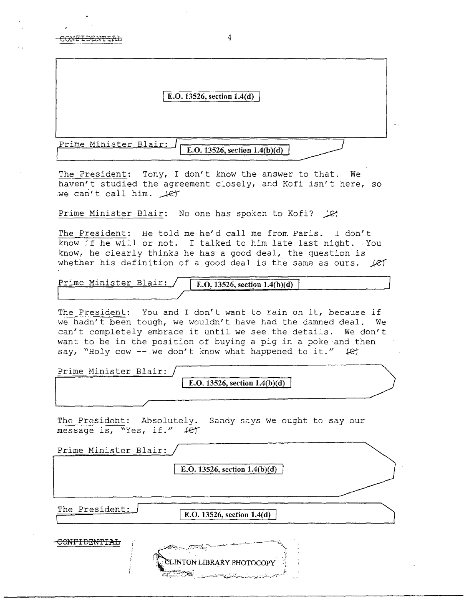|                       | E.O. 13526, section 1.4(d)      |  |
|-----------------------|---------------------------------|--|
|                       |                                 |  |
| Prime Minister Blair: | E.O. 13526, section $1.4(b)(d)$ |  |

The President: Tony, I don't know the answer to that. We haven't studied the agreement closely, and Kofi isn't here, so we can't call him.  $\text{Let }$ 

Prime Minister Blair: No one has spoken to Kofi? (C)

The President: He told me he'd call me from Paris. I don't know if he will or not. I talked to him late last night. You know, he clearly thinks he has a good deal, the question is whether his definition of a good deal is the same as ours.  $\angle$ ef

Prime Minister Blair: **E.O. 13526, section 1.4(b)(d)** 

The President: You and I don't want to rain on it, because if we hadn't been tough, we wouldn't have had the damned deal. We can't completely embrace it until we see the details. We don't want to be in the position of buying a pig in a poke and then say, "Holy cow -- we don't know what happened to it."  $\downarrow$   $\downarrow$   $\downarrow$ 

Prime Minister Blair: **E.O. 13526, section 1.4(b)(d)** 

The President: Absolutely. Sandy says we ought to say our message is, "Yes, if."  $4$ er

| Prime Minister Blair: | E.O. 13526, section $1.4(b)(d)$                                                 |  |
|-----------------------|---------------------------------------------------------------------------------|--|
| The President:        | E.O. 13526, section 1.4(d)                                                      |  |
| CONTRA THENTE T       | CLINTON LIBRARY PHOTOCOPY<br><b>TRYS</b> Last the Library of L<br>$\sim$ $\sim$ |  |